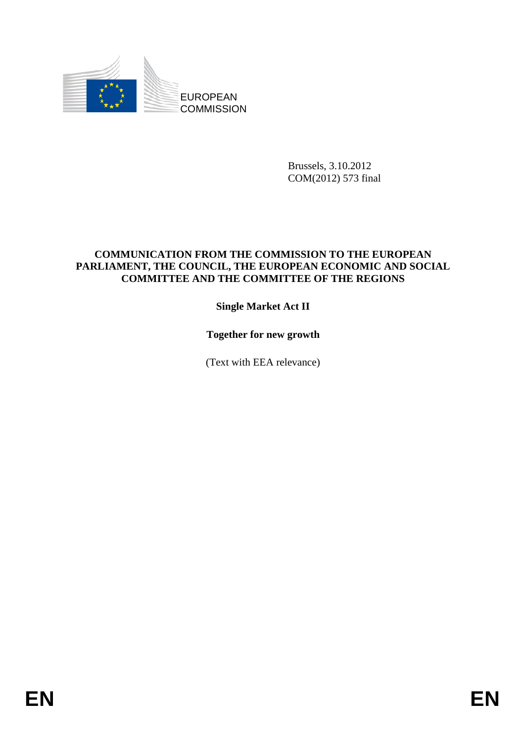

Brussels, 3.10.2012 COM(2012) 573 final

## **COMMUNICATION FROM THE COMMISSION TO THE EUROPEAN PARLIAMENT, THE COUNCIL, THE EUROPEAN ECONOMIC AND SOCIAL COMMITTEE AND THE COMMITTEE OF THE REGIONS**

# **Single Market Act II**

## **Together for new growth**

(Text with EEA relevance)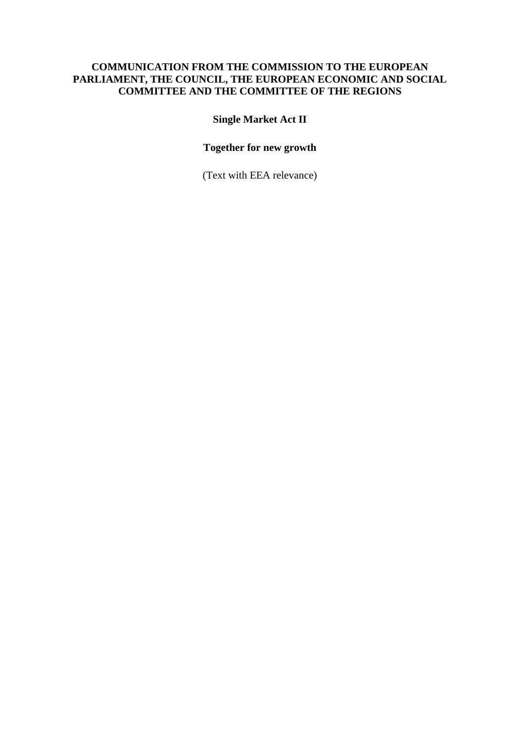## **COMMUNICATION FROM THE COMMISSION TO THE EUROPEAN PARLIAMENT, THE COUNCIL, THE EUROPEAN ECONOMIC AND SOCIAL COMMITTEE AND THE COMMITTEE OF THE REGIONS**

### **Single Market Act II**

## **Together for new growth**

(Text with EEA relevance)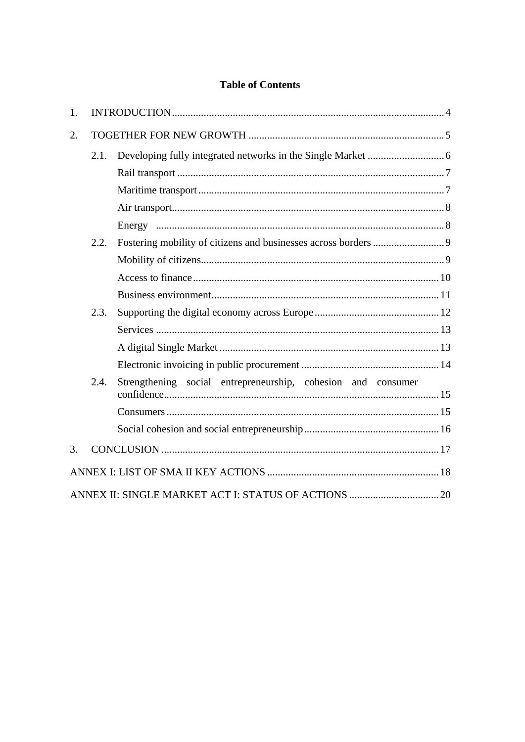## **Table of Contents**

| 1. |      |                                                              |  |
|----|------|--------------------------------------------------------------|--|
| 2. |      |                                                              |  |
|    | 2.1. |                                                              |  |
|    |      |                                                              |  |
|    |      |                                                              |  |
|    |      |                                                              |  |
|    |      |                                                              |  |
|    | 2.2. |                                                              |  |
|    |      |                                                              |  |
|    |      |                                                              |  |
|    |      |                                                              |  |
|    | 2.3. |                                                              |  |
|    |      |                                                              |  |
|    |      |                                                              |  |
|    |      |                                                              |  |
|    | 2.4. | Strengthening social entrepreneurship, cohesion and consumer |  |
|    |      |                                                              |  |
|    |      |                                                              |  |
| 3. |      |                                                              |  |
|    |      |                                                              |  |
|    |      |                                                              |  |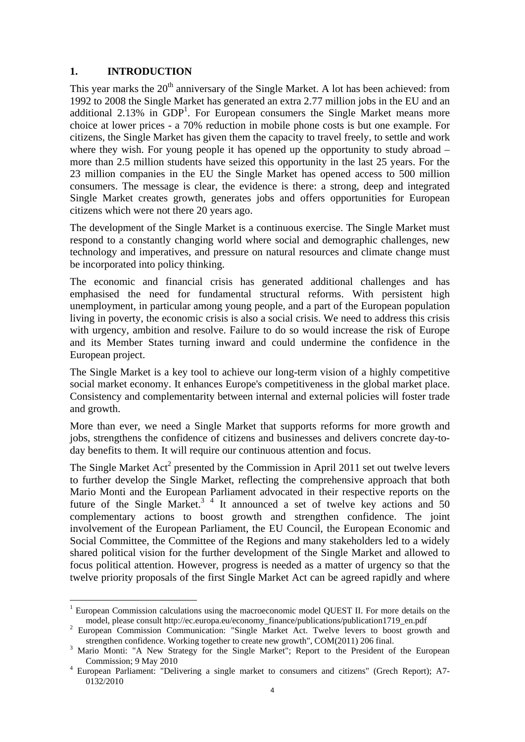### <span id="page-3-0"></span>**1. INTRODUCTION**

 $\overline{a}$ 

This year marks the 20<sup>th</sup> anniversary of the Single Market. A lot has been achieved: from 1992 to 2008 the Single Market has generated an extra 2.77 million jobs in the EU and an additional  $2.13\%$  in  $GDP<sup>1</sup>$ . For European consumers the Single Market means more choice at lower prices - a 70% reduction in mobile phone costs is but one example. For citizens, the Single Market has given them the capacity to travel freely, to settle and work where they wish. For young people it has opened up the opportunity to study abroad – more than 2.5 million students have seized this opportunity in the last 25 years. For the 23 million companies in the EU the Single Market has opened access to 500 million consumers. The message is clear, the evidence is there: a strong, deep and integrated Single Market creates growth, generates jobs and offers opportunities for European citizens which were not there 20 years ago.

The development of the Single Market is a continuous exercise. The Single Market must respond to a constantly changing world where social and demographic challenges, new technology and imperatives, and pressure on natural resources and climate change must be incorporated into policy thinking.

The economic and financial crisis has generated additional challenges and has emphasised the need for fundamental structural reforms. With persistent high unemployment, in particular among young people, and a part of the European population living in poverty, the economic crisis is also a social crisis. We need to address this crisis with urgency, ambition and resolve. Failure to do so would increase the risk of Europe and its Member States turning inward and could undermine the confidence in the European project.

The Single Market is a key tool to achieve our long-term vision of a highly competitive social market economy. It enhances Europe's competitiveness in the global market place. Consistency and complementarity between internal and external policies will foster trade and growth.

More than ever, we need a Single Market that supports reforms for more growth and jobs, strengthens the confidence of citizens and businesses and delivers concrete day-today benefits to them. It will require our continuous attention and focus.

The Single Market  $Act^2$  presented by the Commission in April 2011 set out twelve levers to further develop the Single Market, reflecting the comprehensive approach that both Mario Monti and the European Parliament advocated in their respective reports on the future of the Single Market.<sup>34</sup> It announced a set of twelve key actions and 50 complementary actions to boost growth and strengthen confidence. The joint involvement of the European Parliament, the EU Council, the European Economic and Social Committee, the Committee of the Regions and many stakeholders led to a widely shared political vision for the further development of the Single Market and allowed to focus political attention. However, progress is needed as a matter of urgency so that the twelve priority proposals of the first Single Market Act can be agreed rapidly and where

<sup>&</sup>lt;sup>1</sup> European Commission calculations using the macroeconomic model QUEST II. For more details on the model, please consult http://ec.europa.eu/economy\_finance/publications/publication1719\_en.pdf

<sup>&</sup>lt;sup>2</sup> European Commission Communication: "Single Market Act. Twelve levers to boost growth and strengthen confidence. Working together to create new growth", COM(2011) 206 final.

<sup>&</sup>lt;sup>3</sup> Mario Monti: "A New Strategy for the Single Market"; Report to the President of the European Commission; 9 May 2010

European Parliament: "Delivering a single market to consumers and citizens" (Grech Report); A7- 0132/2010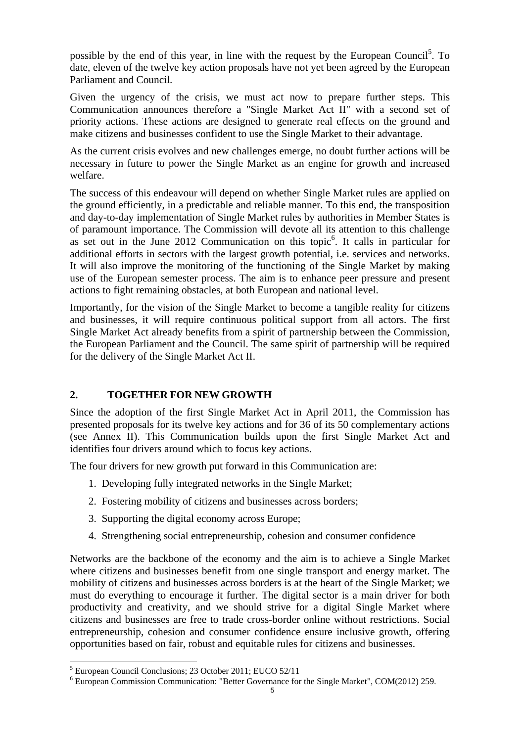possible by the end of this year, in line with the request by the European Council<sup>5</sup>. To date, eleven of the twelve key action proposals have not yet been agreed by the European Parliament and Council.

Given the urgency of the crisis, we must act now to prepare further steps. This Communication announces therefore a "Single Market Act II" with a second set of priority actions. These actions are designed to generate real effects on the ground and make citizens and businesses confident to use the Single Market to their advantage.

As the current crisis evolves and new challenges emerge, no doubt further actions will be necessary in future to power the Single Market as an engine for growth and increased welfare.

The success of this endeavour will depend on whether Single Market rules are applied on the ground efficiently, in a predictable and reliable manner. To this end, the transposition and day-to-day implementation of Single Market rules by authorities in Member States is of paramount importance. The Commission will devote all its attention to this challenge as set out in the June 2012 Communication on this topic<sup>6</sup>. It calls in particular for additional efforts in sectors with the largest growth potential, i.e. services and networks. It will also improve the monitoring of the functioning of the Single Market by making use of the European semester process. The aim is to enhance peer pressure and present actions to fight remaining obstacles, at both European and national level.

Importantly, for the vision of the Single Market to become a tangible reality for citizens and businesses, it will require continuous political support from all actors. The first Single Market Act already benefits from a spirit of partnership between the Commission, the European Parliament and the Council. The same spirit of partnership will be required for the delivery of the Single Market Act II.

## <span id="page-4-0"></span>**2. TOGETHER FOR NEW GROWTH**

Since the adoption of the first Single Market Act in April 2011, the Commission has presented proposals for its twelve key actions and for 36 of its 50 complementary actions (see Annex II). This Communication builds upon the first Single Market Act and identifies four drivers around which to focus key actions.

The four drivers for new growth put forward in this Communication are:

- 1. Developing fully integrated networks in the Single Market;
- 2. Fostering mobility of citizens and businesses across borders;
- 3. Supporting the digital economy across Europe;
- 4. Strengthening social entrepreneurship, cohesion and consumer confidence

Networks are the backbone of the economy and the aim is to achieve a Single Market where citizens and businesses benefit from one single transport and energy market. The mobility of citizens and businesses across borders is at the heart of the Single Market; we must do everything to encourage it further. The digital sector is a main driver for both productivity and creativity, and we should strive for a digital Single Market where citizens and businesses are free to trade cross-border online without restrictions. Social entrepreneurship, cohesion and consumer confidence ensure inclusive growth, offering opportunities based on fair, robust and equitable rules for citizens and businesses.

<sup>5</sup> European Council Conclusions; 23 October 2011; EUCO 52/11

<sup>&</sup>lt;sup>6</sup> European Commission Communication: "Better Governance for the Single Market", COM(2012) 259.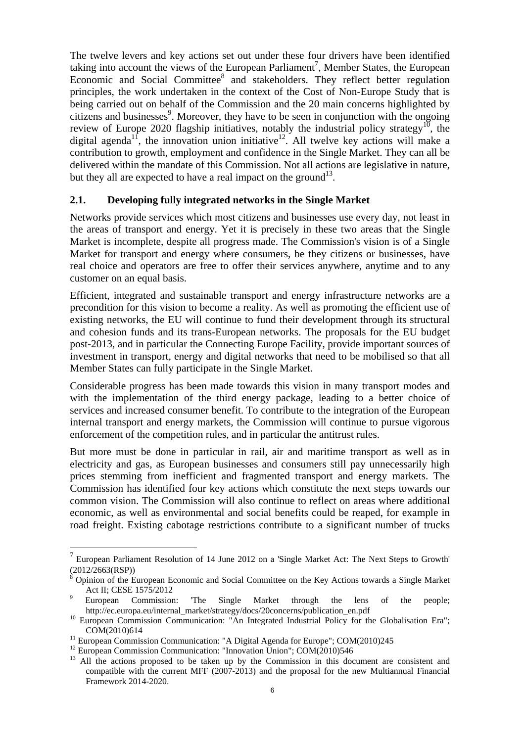The twelve levers and key actions set out under these four drivers have been identified taking into account the views of the European Parliament<sup>7</sup>, Member States, the European Economic and Social Committee<sup>8</sup> and stakeholders. They reflect better regulation principles, the work undertaken in the context of the Cost of Non-Europe Study that is being carried out on behalf of the Commission and the 20 main concerns highlighted by  $citizes$  and businesses<sup>9</sup>. Moreover, they have to be seen in conjunction with the ongoing review of Europe 2020 flagship initiatives, notably the industrial policy strategy<sup>10</sup>, the digital agenda<sup>11</sup>, the innovation union initiative<sup>12</sup>. All twelve key actions will make a contribution to growth, employment and confidence in the Single Market. They can all be delivered within the mandate of this Commission. Not all actions are legislative in nature, but they all are expected to have a real impact on the ground<sup>13</sup>.

### <span id="page-5-0"></span>**2.1. Developing fully integrated networks in the Single Market**

Networks provide services which most citizens and businesses use every day, not least in the areas of transport and energy. Yet it is precisely in these two areas that the Single Market is incomplete, despite all progress made. The Commission's vision is of a Single Market for transport and energy where consumers, be they citizens or businesses, have real choice and operators are free to offer their services anywhere, anytime and to any customer on an equal basis.

Efficient, integrated and sustainable transport and energy infrastructure networks are a precondition for this vision to become a reality. As well as promoting the efficient use of existing networks, the EU will continue to fund their development through its structural and cohesion funds and its trans-European networks. The proposals for the EU budget post-2013, and in particular the Connecting Europe Facility, provide important sources of investment in transport, energy and digital networks that need to be mobilised so that all Member States can fully participate in the Single Market.

Considerable progress has been made towards this vision in many transport modes and with the implementation of the third energy package, leading to a better choice of services and increased consumer benefit. To contribute to the integration of the European internal transport and energy markets, the Commission will continue to pursue vigorous enforcement of the competition rules, and in particular the antitrust rules.

But more must be done in particular in rail, air and maritime transport as well as in electricity and gas, as European businesses and consumers still pay unnecessarily high prices stemming from inefficient and fragmented transport and energy markets. The Commission has identified four key actions which constitute the next steps towards our common vision. The Commission will also continue to reflect on areas where additional economic, as well as environmental and social benefits could be reaped, for example in road freight. Existing cabotage restrictions contribute to a significant number of trucks

 $<sup>7</sup>$  European Parliament Resolution of 14 June 2012 on a 'Single Market Act: The Next Steps to Growth'</sup>

<sup>(2012/2663(</sup>RSP))<br><sup>8</sup> Opinion of the European Economic and Social Committee on the Key Actions towards a Single Market Act II; CESE 1575/2012<br>European Commission

Commission: 'The Single Market through the lens of the people; http://ec.europa.eu/internal\_market/strategy/docs/20concerns/publication\_en.pdf<br>
European Commission Communication: "An Integrated Industrial Policy for the Globalisation Era";

COM(2010)614 11 European Commission Communication: "A Digital Agenda for Europe"; COM(2010)245

<sup>&</sup>lt;sup>12</sup> European Commission Communication: "Innovation Union"; COM(2010)546<br><sup>13</sup> All the actions proposed to be taken up by the Commission in this doc

All the actions proposed to be taken up by the Commission in this document are consistent and compatible with the current MFF (2007-2013) and the proposal for the new Multiannual Financial Framework 2014-2020.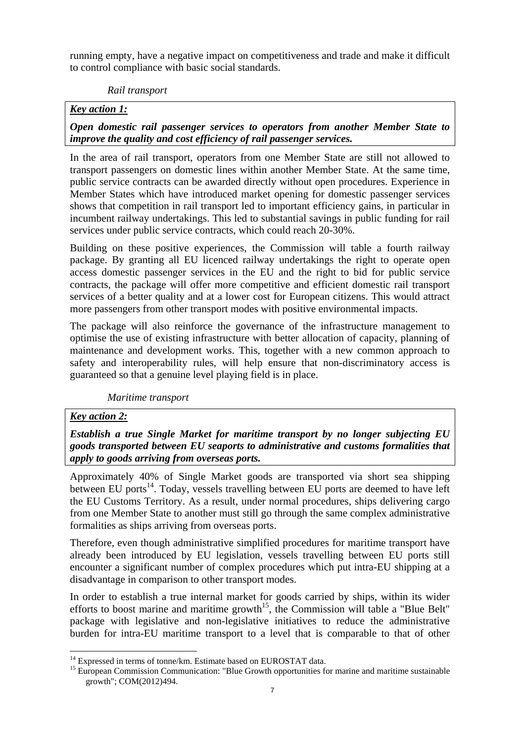<span id="page-6-0"></span>running empty, have a negative impact on competitiveness and trade and make it difficult to control compliance with basic social standards.

## *Rail transport*

## *Key action 1:*

*Open domestic rail passenger services to operators from another Member State to improve the quality and cost efficiency of rail passenger services.*

In the area of rail transport, operators from one Member State are still not allowed to transport passengers on domestic lines within another Member State. At the same time, public service contracts can be awarded directly without open procedures. Experience in Member States which have introduced market opening for domestic passenger services shows that competition in rail transport led to important efficiency gains, in particular in incumbent railway undertakings. This led to substantial savings in public funding for rail services under public service contracts, which could reach 20-30%.

Building on these positive experiences, the Commission will table a fourth railway package. By granting all EU licenced railway undertakings the right to operate open access domestic passenger services in the EU and the right to bid for public service contracts, the package will offer more competitive and efficient domestic rail transport services of a better quality and at a lower cost for European citizens. This would attract more passengers from other transport modes with positive environmental impacts.

The package will also reinforce the governance of the infrastructure management to optimise the use of existing infrastructure with better allocation of capacity, planning of maintenance and development works. This, together with a new common approach to safety and interoperability rules, will help ensure that non-discriminatory access is guaranteed so that a genuine level playing field is in place.

## *Maritime transport*

## <span id="page-6-1"></span>*Key action 2:*

*Establish a true Single Market for maritime transport by no longer subjecting EU goods transported between EU seaports to administrative and customs formalities that apply to goods arriving from overseas ports.*

Approximately 40% of Single Market goods are transported via short sea shipping between EU ports<sup>14</sup>. Today, vessels travelling between EU ports are deemed to have left the EU Customs Territory. As a result, under normal procedures, ships delivering cargo from one Member State to another must still go through the same complex administrative formalities as ships arriving from overseas ports.

Therefore, even though administrative simplified procedures for maritime transport have already been introduced by EU legislation, vessels travelling between EU ports still encounter a significant number of complex procedures which put intra-EU shipping at a disadvantage in comparison to other transport modes.

In order to establish a true internal market for goods carried by ships, within its wider efforts to boost marine and maritime growth<sup>15</sup>, the Commission will table a "Blue Belt" package with legislative and non-legislative initiatives to reduce the administrative burden for intra-EU maritime transport to a level that is comparable to that of other

 $\overline{a}$ <sup>14</sup> Expressed in terms of tonne/km. Estimate based on EUROSTAT data.

<sup>&</sup>lt;sup>15</sup> European Commission Communication: "Blue Growth opportunities for marine and maritime sustainable growth"; COM(2012)494.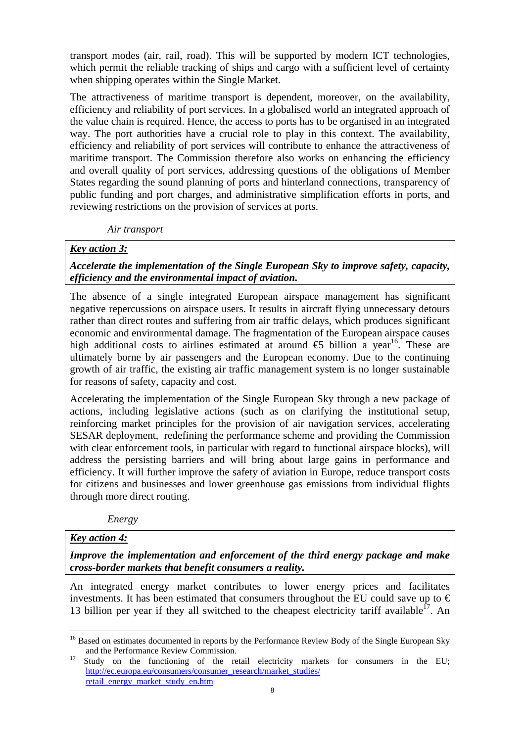transport modes (air, rail, road). This will be supported by modern ICT technologies, which permit the reliable tracking of ships and cargo with a sufficient level of certainty when shipping operates within the Single Market.

The attractiveness of maritime transport is dependent, moreover, on the availability, efficiency and reliability of port services. In a globalised world an integrated approach of the value chain is required. Hence, the access to ports has to be organised in an integrated way. The port authorities have a crucial role to play in this context. The availability, efficiency and reliability of port services will contribute to enhance the attractiveness of maritime transport. The Commission therefore also works on enhancing the efficiency and overall quality of port services, addressing questions of the obligations of Member States regarding the sound planning of ports and hinterland connections, transparency of public funding and port charges, and administrative simplification efforts in ports, and reviewing restrictions on the provision of services at ports.

#### *Air transport*

## <span id="page-7-0"></span>*Key action 3:*

*Accelerate the implementation of the Single European Sky to improve safety, capacity, efficiency and the environmental impact of aviation.* 

The absence of a single integrated European airspace management has significant negative repercussions on airspace users. It results in aircraft flying unnecessary detours rather than direct routes and suffering from air traffic delays, which produces significant economic and environmental damage. The fragmentation of the European airspace causes high additional costs to airlines estimated at around  $\oplus$  billion a year<sup>16</sup>. These are ultimately borne by air passengers and the European economy. Due to the continuing growth of air traffic, the existing air traffic management system is no longer sustainable for reasons of safety, capacity and cost.

Accelerating the implementation of the Single European Sky through a new package of actions, including legislative actions (such as on clarifying the institutional setup, reinforcing market principles for the provision of air navigation services, accelerating SESAR deployment, redefining the performance scheme and providing the Commission with clear enforcement tools, in particular with regard to functional airspace blocks), will address the persisting barriers and will bring about large gains in performance and efficiency. It will further improve the safety of aviation in Europe, reduce transport costs for citizens and businesses and lower greenhouse gas emissions from individual flights through more direct routing.

#### *Energy*

### <span id="page-7-1"></span>*Key action 4:*

*Improve the implementation and enforcement of the third energy package and make cross-border markets that benefit consumers a reality.*

An integrated energy market contributes to lower energy prices and facilitates investments. It has been estimated that consumers throughout the EU could save up to  $\epsilon$ 13 billion per year if they all switched to the cheapest electricity tariff available<sup>17</sup>. An

 $\overline{a}$ <sup>16</sup> Based on estimates documented in reports by the Performance Review Body of the Single European Sky and the Performance Review Commission.<br><sup>17</sup> Study on the functioning of the retail electricity markets for consumers in the EU;

http://ec.europa.eu/consumers/consumer\_research/market\_studies/ [retail\\_energy\\_market\\_study\\_en.htm](http://ec.europa.eu/consumers/consumer_research/market_studies/ retail_energy_market_study_en.htm)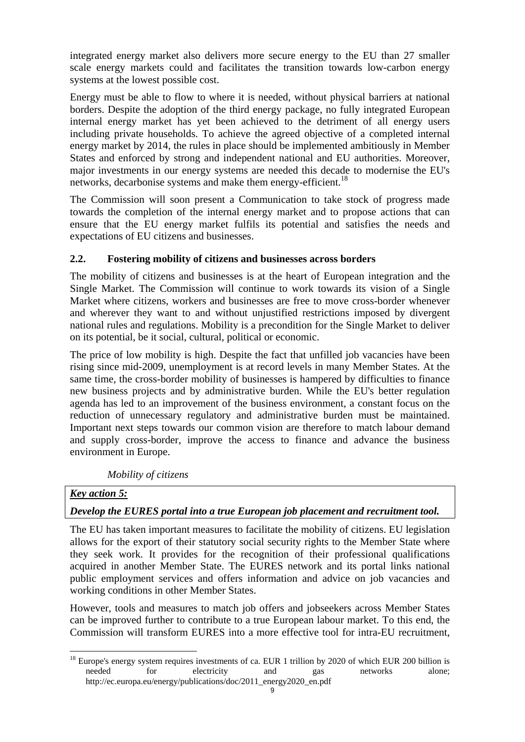integrated energy market also delivers more secure energy to the EU than 27 smaller scale energy markets could and facilitates the transition towards low-carbon energy systems at the lowest possible cost.

Energy must be able to flow to where it is needed, without physical barriers at national borders. Despite the adoption of the third energy package, no fully integrated European internal energy market has yet been achieved to the detriment of all energy users including private households. To achieve the agreed objective of a completed internal energy market by 2014, the rules in place should be implemented ambitiously in Member States and enforced by strong and independent national and EU authorities. Moreover, major investments in our energy systems are needed this decade to modernise the EU's networks, decarbonise systems and make them energy-efficient.<sup>18</sup>

The Commission will soon present a Communication to take stock of progress made towards the completion of the internal energy market and to propose actions that can ensure that the EU energy market fulfils its potential and satisfies the needs and expectations of EU citizens and businesses.

## <span id="page-8-0"></span>**2.2. Fostering mobility of citizens and businesses across borders**

The mobility of citizens and businesses is at the heart of European integration and the Single Market. The Commission will continue to work towards its vision of a Single Market where citizens, workers and businesses are free to move cross-border whenever and wherever they want to and without unjustified restrictions imposed by divergent national rules and regulations. Mobility is a precondition for the Single Market to deliver on its potential, be it social, cultural, political or economic.

The price of low mobility is high. Despite the fact that unfilled job vacancies have been rising since mid-2009, unemployment is at record levels in many Member States. At the same time, the cross-border mobility of businesses is hampered by difficulties to finance new business projects and by administrative burden. While the EU's better regulation agenda has led to an improvement of the business environment, a constant focus on the reduction of unnecessary regulatory and administrative burden must be maintained. Important next steps towards our common vision are therefore to match labour demand and supply cross-border, improve the access to finance and advance the business environment in Europe.

 *Mobility of citizens* 

## <span id="page-8-1"></span>*Key action 5:*

## *Develop the EURES portal into a true European job placement and recruitment tool.*

The EU has taken important measures to facilitate the mobility of citizens. EU legislation allows for the export of their statutory social security rights to the Member State where they seek work. It provides for the recognition of their professional qualifications acquired in another Member State. The EURES network and its portal links national public employment services and offers information and advice on job vacancies and working conditions in other Member States.

However, tools and measures to match job offers and jobseekers across Member States can be improved further to contribute to a true European labour market. To this end, the Commission will transform EURES into a more effective tool for intra-EU recruitment,

 $\overline{a}$  $18$  Europe's energy system requires investments of ca. EUR 1 trillion by 2020 of which EUR 200 billion is needed for electricity and gas networks alone; http://ec.europa.eu/energy/publications/doc/2011\_energy2020\_en.pdf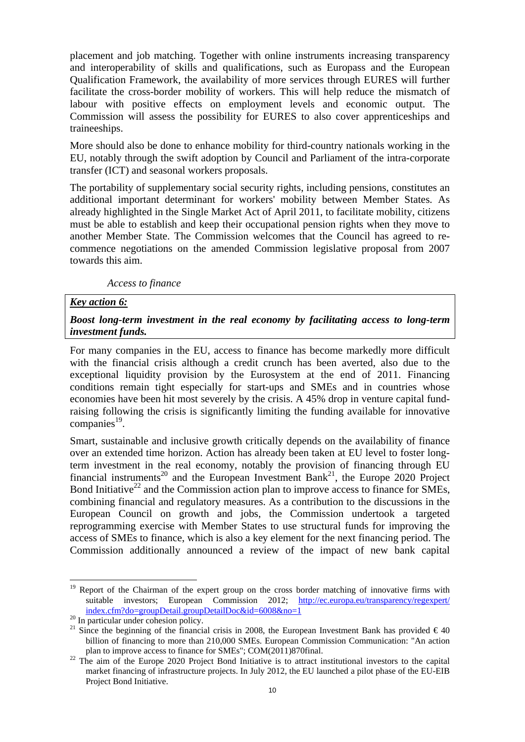placement and job matching. Together with online instruments increasing transparency and interoperability of skills and qualifications, such as Europass and the European Qualification Framework, the availability of more services through EURES will further facilitate the cross-border mobility of workers. This will help reduce the mismatch of labour with positive effects on employment levels and economic output. The Commission will assess the possibility for EURES to also cover apprenticeships and traineeships.

More should also be done to enhance mobility for third-country nationals working in the EU, notably through the swift adoption by Council and Parliament of the intra-corporate transfer (ICT) and seasonal workers proposals.

The portability of supplementary social security rights, including pensions, constitutes an additional important determinant for workers' mobility between Member States. As already highlighted in the Single Market Act of April 2011, to facilitate mobility, citizens must be able to establish and keep their occupational pension rights when they move to another Member State. The Commission welcomes that the Council has agreed to recommence negotiations on the amended Commission legislative proposal from 2007 towards this aim.

 *Access to finance* 

#### <span id="page-9-0"></span>*Key action 6:*

*Boost long-term investment in the real economy by facilitating access to long-term investment funds.* 

For many companies in the EU, access to finance has become markedly more difficult with the financial crisis although a credit crunch has been averted, also due to the exceptional liquidity provision by the Eurosystem at the end of 2011. Financing conditions remain tight especially for start-ups and SMEs and in countries whose economies have been hit most severely by the crisis. A 45% drop in venture capital fundraising following the crisis is significantly limiting the funding available for innovative companies $^{19}$ .

Smart, sustainable and inclusive growth critically depends on the availability of finance over an extended time horizon. Action has already been taken at EU level to foster longterm investment in the real economy, notably the provision of financing through EU financial instruments<sup>20</sup> and the European Investment Bank<sup>21</sup>, the Europe 2020 Project Bond Initiative<sup>22</sup> and the Commission action plan to improve access to finance for SMEs, combining financial and regulatory measures. As a contribution to the discussions in the European Council on growth and jobs, the Commission undertook a targeted reprogramming exercise with Member States to use structural funds for improving the access of SMEs to finance, which is also a key element for the next financing period. The Commission additionally announced a review of the impact of new bank capital

<sup>&</sup>lt;sup>19</sup> Report of the Chairman of the expert group on the cross border matching of innovative firms with suitable investors; European Commission 2012; [http://ec.europa.eu/transparency/regexpert/](http://ec.europa.eu/transparency/regexpert/ index.cfm?do=groupDetail.groupDetailDoc&id=6008&no=1)  [index.cfm?do=groupDetail.groupDetailDoc&id=6008&no=1](http://ec.europa.eu/transparency/regexpert/ index.cfm?do=groupDetail.groupDetailDoc&id=6008&no=1)<sup>20</sup> In particular under cohesion policy.

<sup>&</sup>lt;sup>21</sup> Since the beginning of the financial crisis in 2008, the European Investment Bank has provided  $\epsilon$  40 billion of financing to more than 210,000 SMEs. European Commission Communication: "An action

plan to improve access to finance for SMEs"; COM(2011)870final.<br><sup>22</sup> The aim of the Europe 2020 Project Bond Initiative is to attract institutional investors to the capital market financing of infrastructure projects. In July 2012, the EU launched a pilot phase of the EU-EIB Project Bond Initiative.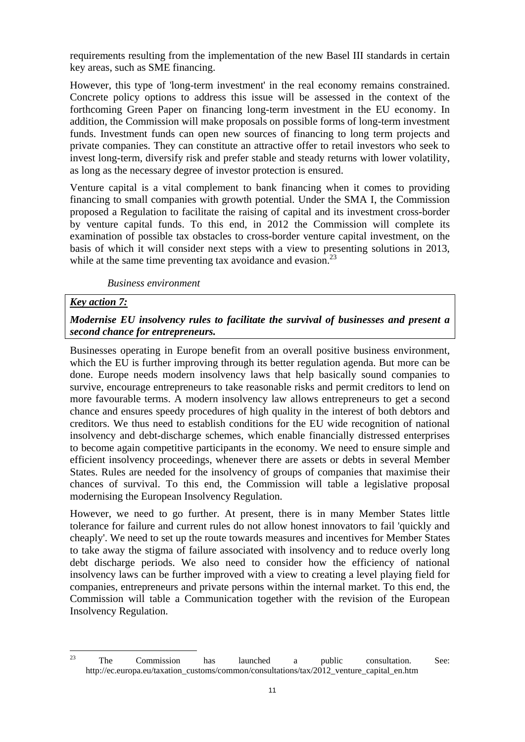requirements resulting from the implementation of the new Basel III standards in certain key areas, such as SME financing.

However, this type of 'long-term investment' in the real economy remains constrained. Concrete policy options to address this issue will be assessed in the context of the forthcoming Green Paper on financing long-term investment in the EU economy. In addition, the Commission will make proposals on possible forms of long-term investment funds. Investment funds can open new sources of financing to long term projects and private companies. They can constitute an attractive offer to retail investors who seek to invest long-term, diversify risk and prefer stable and steady returns with lower volatility, as long as the necessary degree of investor protection is ensured.

Venture capital is a vital complement to bank financing when it comes to providing financing to small companies with growth potential. Under the SMA I, the Commission proposed a Regulation to facilitate the raising of capital and its investment cross-border by venture capital funds. To this end, in 2012 the Commission will complete its examination of possible tax obstacles to cross-border venture capital investment, on the basis of which it will consider next steps with a view to presenting solutions in 2013, while at the same time preventing tax avoidance and evasion.<sup>23</sup>

 *Business environment* 

### <span id="page-10-0"></span>*Key action 7:*

## *Modernise EU insolvency rules to facilitate the survival of businesses and present a second chance for entrepreneurs.*

Businesses operating in Europe benefit from an overall positive business environment, which the EU is further improving through its better regulation agenda. But more can be done. Europe needs modern insolvency laws that help basically sound companies to survive, encourage entrepreneurs to take reasonable risks and permit creditors to lend on more favourable terms. A modern insolvency law allows entrepreneurs to get a second chance and ensures speedy procedures of high quality in the interest of both debtors and creditors. We thus need to establish conditions for the EU wide recognition of national insolvency and debt-discharge schemes, which enable financially distressed enterprises to become again competitive participants in the economy. We need to ensure simple and efficient insolvency proceedings, whenever there are assets or debts in several Member States. Rules are needed for the insolvency of groups of companies that maximise their chances of survival. To this end, the Commission will table a legislative proposal modernising the European Insolvency Regulation.

However, we need to go further. At present, there is in many Member States little tolerance for failure and current rules do not allow honest innovators to fail 'quickly and cheaply'. We need to set up the route towards measures and incentives for Member States to take away the stigma of failure associated with insolvency and to reduce overly long debt discharge periods. We also need to consider how the efficiency of national insolvency laws can be further improved with a view to creating a level playing field for companies, entrepreneurs and private persons within the internal market. To this end, the Commission will table a Communication together with the revision of the European Insolvency Regulation.

 $23$ 23 The Commission has launched a public consultation. See: http://ec.europa.eu/taxation\_customs/common/consultations/tax/2012\_venture\_capital\_en.htm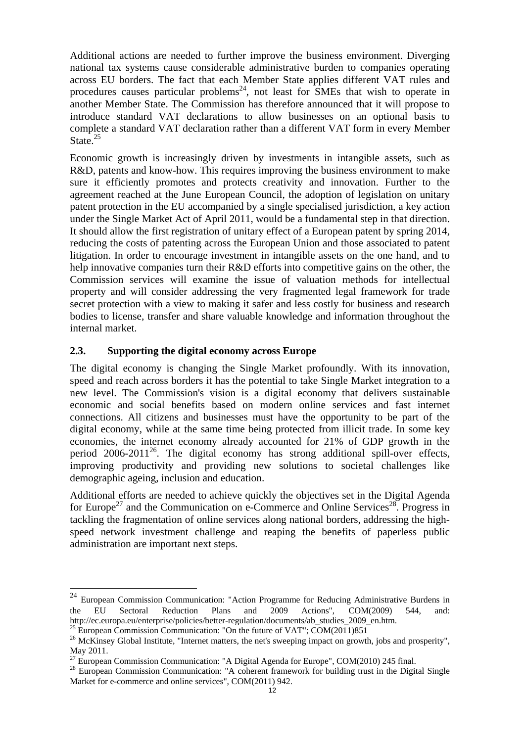Additional actions are needed to further improve the business environment. Diverging national tax systems cause considerable administrative burden to companies operating across EU borders. The fact that each Member State applies different VAT rules and procedures causes particular problems<sup>24</sup>, not least for SMEs that wish to operate in another Member State. The Commission has therefore announced that it will propose to introduce standard VAT declarations to allow businesses on an optional basis to complete a standard VAT declaration rather than a different VAT form in every Member State. $25$ 

Economic growth is increasingly driven by investments in intangible assets, such as R&D, patents and know-how. This requires improving the business environment to make sure it efficiently promotes and protects creativity and innovation. Further to the agreement reached at the June European Council, the adoption of legislation on unitary patent protection in the EU accompanied by a single specialised jurisdiction, a key action under the Single Market Act of April 2011, would be a fundamental step in that direction. It should allow the first registration of unitary effect of a European patent by spring 2014, reducing the costs of patenting across the European Union and those associated to patent litigation. In order to encourage investment in intangible assets on the one hand, and to help innovative companies turn their R&D efforts into competitive gains on the other, the Commission services will examine the issue of valuation methods for intellectual property and will consider addressing the very fragmented legal framework for trade secret protection with a view to making it safer and less costly for business and research bodies to license, transfer and share valuable knowledge and information throughout the internal market.

## <span id="page-11-0"></span>**2.3. Supporting the digital economy across Europe**

The digital economy is changing the Single Market profoundly. With its innovation, speed and reach across borders it has the potential to take Single Market integration to a new level. The Commission's vision is a digital economy that delivers sustainable economic and social benefits based on modern online services and fast internet connections. All citizens and businesses must have the opportunity to be part of the digital economy, while at the same time being protected from illicit trade. In some key economies, the internet economy already accounted for 21% of GDP growth in the period  $2006-2011^{26}$ . The digital economy has strong additional spill-over effects, improving productivity and providing new solutions to societal challenges like demographic ageing, inclusion and education.

Additional efforts are needed to achieve quickly the objectives set in the Digital Agenda for Europe<sup>27</sup> and the Communication on e-Commerce and Online Services<sup>28</sup>. Progress in tackling the fragmentation of online services along national borders, addressing the highspeed network investment challenge and reaping the benefits of paperless public administration are important next steps.

 $24$  European Commission Communication: "Action Programme for Reducing Administrative Burdens in the EU Sectoral Reduction Plans and 2009 Actions", COM(2009) 544, and: http://ec.europa.eu/enterprise/policies/better-regulation/documents/ab\_studies\_2009\_en.htm.

<sup>&</sup>lt;sup>25</sup> European Commission Communication: "On the future of VAT"; COM(2011)851

<sup>&</sup>lt;sup>26</sup> McKinsey Global Institute, "Internet matters, the net's sweeping impact on growth, jobs and prosperity", May 2011.

<sup>&</sup>lt;sup>27</sup> European Commission Communication: "A Digital Agenda for Europe", COM(2010) 245 final.

<sup>&</sup>lt;sup>28</sup> European Commission Communication: "A coherent framework for building trust in the Digital Single Market for e-commerce and online services", COM(2011) 942.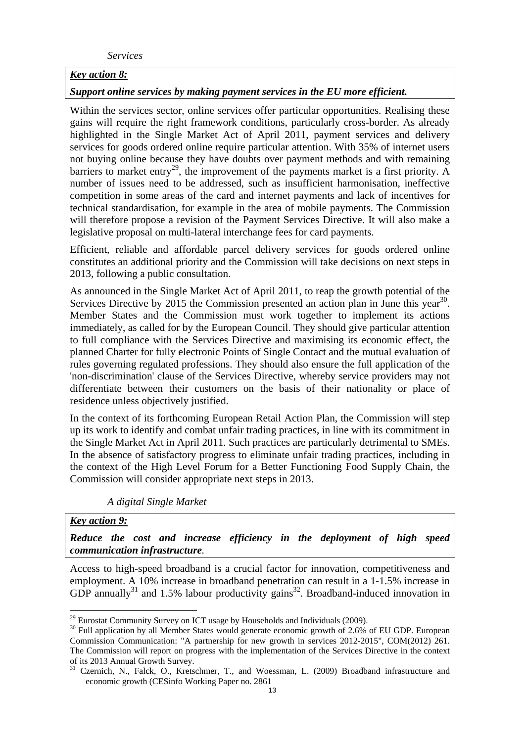### <span id="page-12-0"></span>*Key action 8:*

### *Support online services by making payment services in the EU more efficient.*

Within the services sector, online services offer particular opportunities. Realising these gains will require the right framework conditions, particularly cross-border. As already highlighted in the Single Market Act of April 2011, payment services and delivery services for goods ordered online require particular attention. With 35% of internet users not buying online because they have doubts over payment methods and with remaining barriers to market entry<sup>29</sup>, the improvement of the payments market is a first priority. A number of issues need to be addressed, such as insufficient harmonisation, ineffective competition in some areas of the card and internet payments and lack of incentives for technical standardisation, for example in the area of mobile payments. The Commission will therefore propose a revision of the Payment Services Directive. It will also make a legislative proposal on multi-lateral interchange fees for card payments.

Efficient, reliable and affordable parcel delivery services for goods ordered online constitutes an additional priority and the Commission will take decisions on next steps in 2013, following a public consultation.

As announced in the Single Market Act of April 2011, to reap the growth potential of the Services Directive by 2015 the Commission presented an action plan in June this year<sup>30</sup>. Member States and the Commission must work together to implement its actions immediately, as called for by the European Council. They should give particular attention to full compliance with the Services Directive and maximising its economic effect, the planned Charter for fully electronic Points of Single Contact and the mutual evaluation of rules governing regulated professions. They should also ensure the full application of the 'non-discrimination' clause of the Services Directive, whereby service providers may not differentiate between their customers on the basis of their nationality or place of residence unless objectively justified.

In the context of its forthcoming European Retail Action Plan, the Commission will step up its work to identify and combat unfair trading practices, in line with its commitment in the Single Market Act in April 2011. Such practices are particularly detrimental to SMEs. In the absence of satisfactory progress to eliminate unfair trading practices, including in the context of the High Level Forum for a Better Functioning Food Supply Chain, the Commission will consider appropriate next steps in 2013.

 *A digital Single Market* 

## <span id="page-12-1"></span>*Key action 9:*

 $\overline{a}$ 

*Reduce the cost and increase efficiency in the deployment of high speed communication infrastructure.* 

Access to high-speed broadband is a crucial factor for innovation, competitiveness and employment. A 10% increase in broadband penetration can result in a 1-1.5% increase in GDP annually<sup>31</sup> and 1.5% labour productivity gains<sup>32</sup>. Broadband-induced innovation in

 $29$  Eurostat Community Survey on ICT usage by Households and Individuals (2009).

 $30$  Full application by all Member States would generate economic growth of 2.6% of EU GDP. European Commission Communication: "A partnership for new growth in services 2012-2015", COM(2012) 261. The Commission will report on progress with the implementation of the Services Directive in the context of its 2013 Annual Growth Survey.

<sup>31</sup> Czernich, N., Falck, O., Kretschmer, T., and Woessman, L. (2009) Broadband infrastructure and economic growth (CESinfo Working Paper no. 2861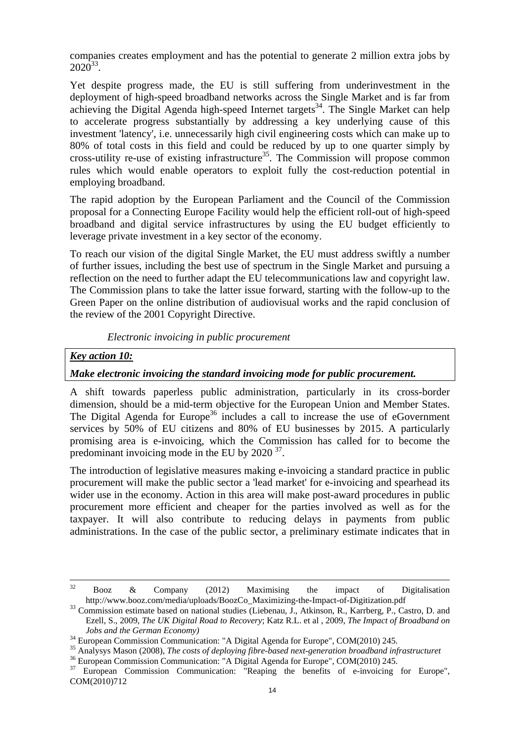companies creates employment and has the potential to generate 2 million extra jobs by  $2020^{33}$ .

Yet despite progress made, the EU is still suffering from underinvestment in the deployment of high-speed broadband networks across the Single Market and is far from achieving the Digital Agenda high-speed Internet targets<sup>34</sup>. The Single Market can help to accelerate progress substantially by addressing a key underlying cause of this investment 'latency', i.e. unnecessarily high civil engineering costs which can make up to 80% of total costs in this field and could be reduced by up to one quarter simply by cross-utility re-use of existing infrastructure<sup>35</sup>. The Commission will propose common rules which would enable operators to exploit fully the cost-reduction potential in employing broadband.

The rapid adoption by the European Parliament and the Council of the Commission proposal for a Connecting Europe Facility would help the efficient roll-out of high-speed broadband and digital service infrastructures by using the EU budget efficiently to leverage private investment in a key sector of the economy.

To reach our vision of the digital Single Market, the EU must address swiftly a number of further issues, including the best use of spectrum in the Single Market and pursuing a reflection on the need to further adapt the EU telecommunications law and copyright law. The Commission plans to take the latter issue forward, starting with the follow-up to the Green Paper on the online distribution of audiovisual works and the rapid conclusion of the review of the 2001 Copyright Directive.

 *Electronic invoicing in public procurement* 

<span id="page-13-0"></span>*Key action 10:*

## *Make electronic invoicing the standard invoicing mode for public procurement.*

A shift towards paperless public administration, particularly in its cross-border dimension, should be a mid-term objective for the European Union and Member States. The Digital Agenda for Europe<sup>36</sup> includes a call to increase the use of eGovernment services by 50% of EU citizens and 80% of EU businesses by 2015. A particularly promising area is e-invoicing, which the Commission has called for to become the predominant invoicing mode in the EU by  $2020^{37}$ .

The introduction of legislative measures making e-invoicing a standard practice in public procurement will make the public sector a 'lead market' for e-invoicing and spearhead its wider use in the economy. Action in this area will make post-award procedures in public procurement more efficient and cheaper for the parties involved as well as for the taxpayer. It will also contribute to reducing delays in payments from public administrations. In the case of the public sector, a preliminary estimate indicates that in

<sup>&</sup>lt;sup>32</sup> Booz & Company (2012) Maximising the impact of Digitalisation http://www.booz.com/media/uploads/BoozCo\_Maximizing-the-Impact-of-Digitization.pdf<br><sup>33</sup> Commission estimate based on national studies (Liebenau, J., Atkinson, R., Karrberg, P., Castro, D. and

Ezell, S., 2009, *The UK Digital Road to Recovery*; Katz R.L. et al , 2009, *The Impact of Broadband on Jobs and the German Economy*)<br><sup>34</sup> European Commission Communication: "A Digital Agenda for Europe", COM(2010) 245.

<sup>&</sup>lt;sup>35</sup> Analysys Mason (2008), *The costs of deploying fibre-based next-generation broadband infrastructuret*<br><sup>36</sup> European Commission Communication: "A Digital Agenda for Europe", COM(2010) 245.<br><sup>37</sup> European Commission Comm

European Commission Communication: "Reaping the benefits of e-invoicing for Europe", COM(2010)712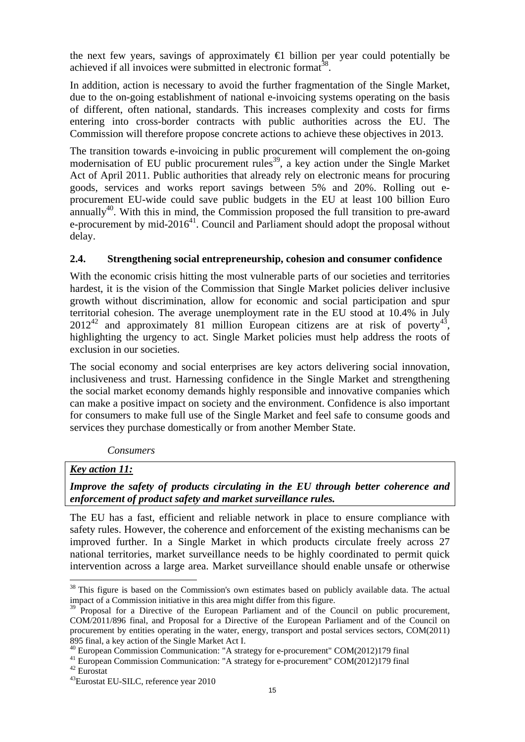the next few years, savings of approximately  $\epsilon$  billion per year could potentially be achieved if all invoices were submitted in electronic format<sup>38</sup>.

In addition, action is necessary to avoid the further fragmentation of the Single Market, due to the on-going establishment of national e-invoicing systems operating on the basis of different, often national, standards. This increases complexity and costs for firms entering into cross-border contracts with public authorities across the EU. The Commission will therefore propose concrete actions to achieve these objectives in 2013.

The transition towards e-invoicing in public procurement will complement the on-going modernisation of EU public procurement rules<sup>39</sup>, a key action under the Single Market Act of April 2011. Public authorities that already rely on electronic means for procuring goods, services and works report savings between 5% and 20%. Rolling out eprocurement EU-wide could save public budgets in the EU at least 100 billion Euro annually<sup>40</sup>. With this in mind, the Commission proposed the full transition to pre-award e-procurement by mid- $2016<sup>41</sup>$ . Council and Parliament should adopt the proposal without delay.

## <span id="page-14-0"></span>**2.4. Strengthening social entrepreneurship, cohesion and consumer confidence**

With the economic crisis hitting the most vulnerable parts of our societies and territories hardest, it is the vision of the Commission that Single Market policies deliver inclusive growth without discrimination, allow for economic and social participation and spur territorial cohesion. The average unemployment rate in the EU stood at 10.4% in July  $2012^{42}$  and approximately 81 million European citizens are at risk of poverty<sup>43</sup>. highlighting the urgency to act. Single Market policies must help address the roots of exclusion in our societies.

The social economy and social enterprises are key actors delivering social innovation, inclusiveness and trust. Harnessing confidence in the Single Market and strengthening the social market economy demands highly responsible and innovative companies which can make a positive impact on society and the environment. Confidence is also important for consumers to make full use of the Single Market and feel safe to consume goods and services they purchase domestically or from another Member State.

#### *Consumers*

#### <span id="page-14-1"></span>*Key action 11:*

*Improve the safety of products circulating in the EU through better coherence and enforcement of product safety and market surveillance rules.* 

The EU has a fast, efficient and reliable network in place to ensure compliance with safety rules. However, the coherence and enforcement of the existing mechanisms can be improved further. In a Single Market in which products circulate freely across 27 national territories, market surveillance needs to be highly coordinated to permit quick intervention across a large area. Market surveillance should enable unsafe or otherwise

<sup>&</sup>lt;sup>38</sup> This figure is based on the Commission's own estimates based on publicly available data. The actual impact of a Commission initiative in this area might differ from this figure.

<sup>&</sup>lt;sup>39</sup> Proposal for a Directive of the European Parliament and of the Council on public procurement, COM/2011/896 final, and Proposal for a Directive of the European Parliament and of the Council on procurement by entities operating in the water, energy, transport and postal services sectors, COM(2011) 895 final, a key action of the Single Market Act I.

<sup>40</sup> European Commission Communication: "A strategy for e-procurement" COM(2012)179 final

<sup>41</sup> European Commission Communication: "A strategy for e-procurement" COM(2012)179 final

<sup>42</sup> Eurostat

<sup>43</sup>Eurostat EU-SILC, reference year 2010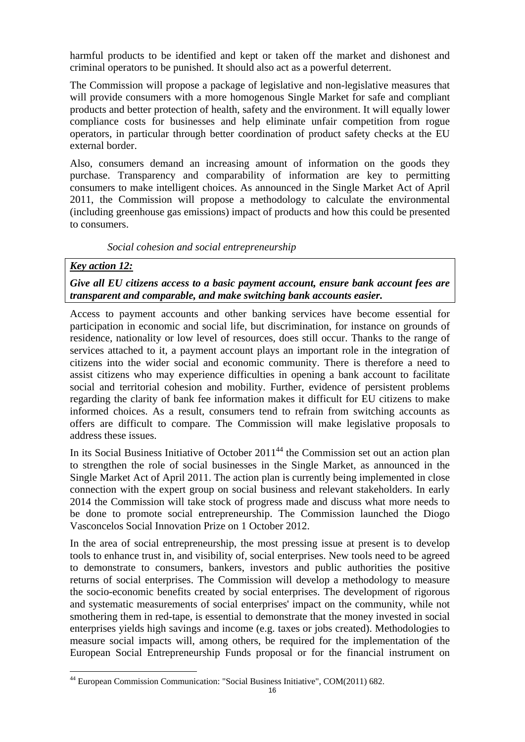harmful products to be identified and kept or taken off the market and dishonest and criminal operators to be punished. It should also act as a powerful deterrent.

The Commission will propose a package of legislative and non-legislative measures that will provide consumers with a more homogenous Single Market for safe and compliant products and better protection of health, safety and the environment. It will equally lower compliance costs for businesses and help eliminate unfair competition from rogue operators, in particular through better coordination of product safety checks at the EU external border.

Also, consumers demand an increasing amount of information on the goods they purchase. Transparency and comparability of information are key to permitting consumers to make intelligent choices. As announced in the Single Market Act of April 2011, the Commission will propose a methodology to calculate the environmental (including greenhouse gas emissions) impact of products and how this could be presented to consumers.

 *Social cohesion and social entrepreneurship* 

## <span id="page-15-0"></span>*Key action 12:*

*Give all EU citizens access to a basic payment account, ensure bank account fees are transparent and comparable, and make switching bank accounts easier.* 

Access to payment accounts and other banking services have become essential for participation in economic and social life, but discrimination, for instance on grounds of residence, nationality or low level of resources, does still occur. Thanks to the range of services attached to it, a payment account plays an important role in the integration of citizens into the wider social and economic community. There is therefore a need to assist citizens who may experience difficulties in opening a bank account to facilitate social and territorial cohesion and mobility. Further, evidence of persistent problems regarding the clarity of bank fee information makes it difficult for EU citizens to make informed choices. As a result, consumers tend to refrain from switching accounts as offers are difficult to compare. The Commission will make legislative proposals to address these issues.

In its Social Business Initiative of October  $2011<sup>44</sup>$  the Commission set out an action plan to strengthen the role of social businesses in the Single Market, as announced in the Single Market Act of April 2011. The action plan is currently being implemented in close connection with the expert group on social business and relevant stakeholders. In early 2014 the Commission will take stock of progress made and discuss what more needs to be done to promote social entrepreneurship. The Commission launched the Diogo Vasconcelos Social Innovation Prize on 1 October 2012.

In the area of social entrepreneurship, the most pressing issue at present is to develop tools to enhance trust in, and visibility of, social enterprises. New tools need to be agreed to demonstrate to consumers, bankers, investors and public authorities the positive returns of social enterprises. The Commission will develop a methodology to measure the socio-economic benefits created by social enterprises. The development of rigorous and systematic measurements of social enterprises' impact on the community, while not smothering them in red-tape, is essential to demonstrate that the money invested in social enterprises yields high savings and income (e.g. taxes or jobs created). Methodologies to measure social impacts will, among others, be required for the implementation of the European Social Entrepreneurship Funds proposal or for the financial instrument on

 $\overline{a}$ 44 European Commission Communication: "Social Business Initiative", COM(2011) 682.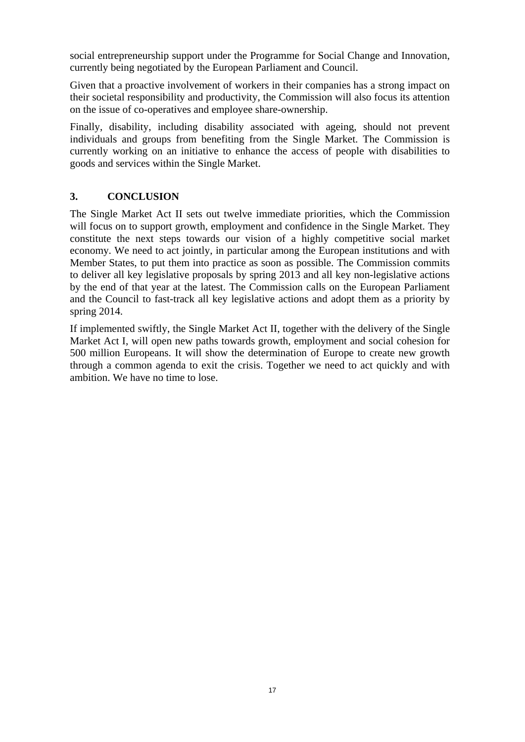social entrepreneurship support under the Programme for Social Change and Innovation, currently being negotiated by the European Parliament and Council.

Given that a proactive involvement of workers in their companies has a strong impact on their societal responsibility and productivity, the Commission will also focus its attention on the issue of co-operatives and employee share-ownership.

Finally, disability, including disability associated with ageing, should not prevent individuals and groups from benefiting from the Single Market. The Commission is currently working on an initiative to enhance the access of people with disabilities to goods and services within the Single Market.

## <span id="page-16-0"></span>**3. CONCLUSION**

The Single Market Act II sets out twelve immediate priorities, which the Commission will focus on to support growth, employment and confidence in the Single Market. They constitute the next steps towards our vision of a highly competitive social market economy. We need to act jointly, in particular among the European institutions and with Member States, to put them into practice as soon as possible. The Commission commits to deliver all key legislative proposals by spring 2013 and all key non-legislative actions by the end of that year at the latest. The Commission calls on the European Parliament and the Council to fast-track all key legislative actions and adopt them as a priority by spring 2014.

If implemented swiftly, the Single Market Act II, together with the delivery of the Single Market Act I, will open new paths towards growth, employment and social cohesion for 500 million Europeans. It will show the determination of Europe to create new growth through a common agenda to exit the crisis. Together we need to act quickly and with ambition. We have no time to lose.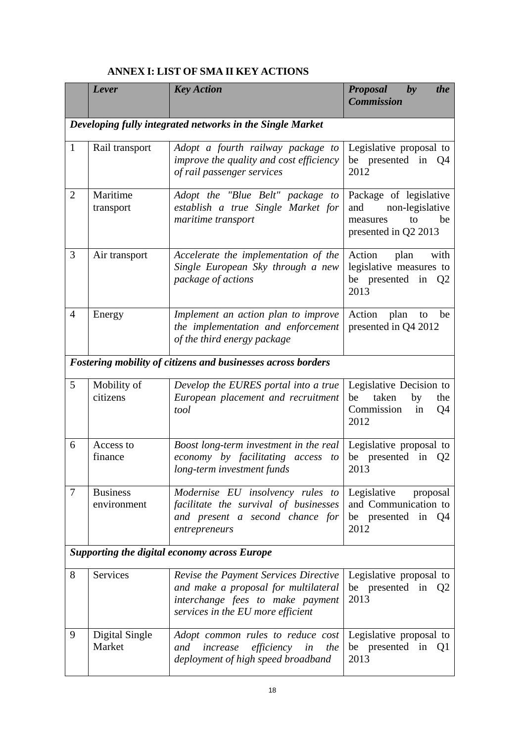# **ANNEX I: LIST OF SMA II KEY ACTIONS**

<span id="page-17-0"></span>

|                                              | Lever                          | <b>Key Action</b>                                                                                                                                             | <b>Proposal</b><br>$\boldsymbol{b}\boldsymbol{v}$<br>the<br><b>Commission</b>                    |
|----------------------------------------------|--------------------------------|---------------------------------------------------------------------------------------------------------------------------------------------------------------|--------------------------------------------------------------------------------------------------|
|                                              |                                | Developing fully integrated networks in the Single Market                                                                                                     |                                                                                                  |
| $\mathbf{1}$                                 | Rail transport                 | Adopt a fourth railway package to<br>improve the quality and cost efficiency<br>of rail passenger services                                                    | Legislative proposal to<br>be presented in Q4<br>2012                                            |
| 2                                            | Maritime<br>transport          | Adopt the "Blue Belt" package to<br>establish a true Single Market for<br>maritime transport                                                                  | Package of legislative<br>non-legislative<br>and<br>be<br>to<br>measures<br>presented in Q2 2013 |
| 3                                            | Air transport                  | Accelerate the implementation of the<br>Single European Sky through a new<br>package of actions                                                               | plan<br>Action<br>with<br>legislative measures to<br>be presented in<br>Q <sub>2</sub><br>2013   |
| $\overline{4}$                               | Energy                         | Implement an action plan to improve<br>the implementation and enforcement<br>of the third energy package                                                      | Action<br>plan<br>be<br>to<br>presented in Q4 2012                                               |
|                                              |                                | Fostering mobility of citizens and businesses across borders                                                                                                  |                                                                                                  |
| 5                                            | Mobility of<br>citizens        | Develop the EURES portal into a true<br>European placement and recruitment<br>tool                                                                            | Legislative Decision to<br>be<br>taken<br>by<br>the<br>Commission<br>in<br>Q4<br>2012            |
| 6                                            | Access to<br>finance           | Boost long-term investment in the real<br>economy by facilitating access to<br>long-term investment funds                                                     | Legislative proposal to<br>be presented in<br>Q <sub>2</sub><br>2013                             |
| 7                                            | <b>Business</b><br>environment | Modernise EU insolvency rules to<br>facilitate the survival of businesses<br>and present a second chance for<br>entrepreneurs                                 | Legislative<br>proposal<br>and Communication to<br>be presented in<br>Q4<br>2012                 |
| Supporting the digital economy across Europe |                                |                                                                                                                                                               |                                                                                                  |
| 8                                            | <b>Services</b>                | <b>Revise the Payment Services Directive</b><br>and make a proposal for multilateral<br>interchange fees to make payment<br>services in the EU more efficient | Legislative proposal to<br>be presented in Q2<br>2013                                            |
| 9                                            | Digital Single<br>Market       | Adopt common rules to reduce cost<br>increase<br><i>efficiency</i> in<br>the<br>and<br>deployment of high speed broadband                                     | Legislative proposal to<br>be presented in<br>Q1<br>2013                                         |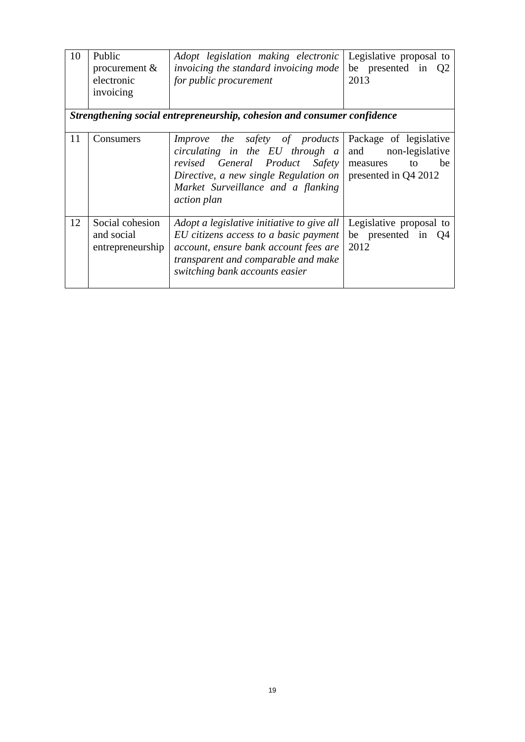| 10 | Public<br>procurement $&$<br>electronic<br>invoicing                    | Adopt legislation making electronic<br>invoicing the standard invoicing mode<br>for public procurement                                                                                                                                       | Legislative proposal to<br>be presented in Q2<br>2013              |  |
|----|-------------------------------------------------------------------------|----------------------------------------------------------------------------------------------------------------------------------------------------------------------------------------------------------------------------------------------|--------------------------------------------------------------------|--|
|    | Strengthening social entrepreneurship, cohesion and consumer confidence |                                                                                                                                                                                                                                              |                                                                    |  |
| 11 | Consumers                                                               | Improve the safety of products<br>circulating in the EU through $a \mid$<br>revised General Product Safety<br>Directive, a new single Regulation on $\vert$ presented in Q4 2012<br>Market Surveillance and a flanking<br><i>action plan</i> | Package of legislative<br>and non-legislative<br>measures to<br>be |  |
| 12 | Social cohesion<br>and social<br>entrepreneurship                       | Adopt a legislative initiative to give all<br>EU citizens access to a basic payment<br>account, ensure bank account fees are<br>transparent and comparable and make<br>switching bank accounts easier                                        | Legislative proposal to<br>be presented in Q4<br>2012              |  |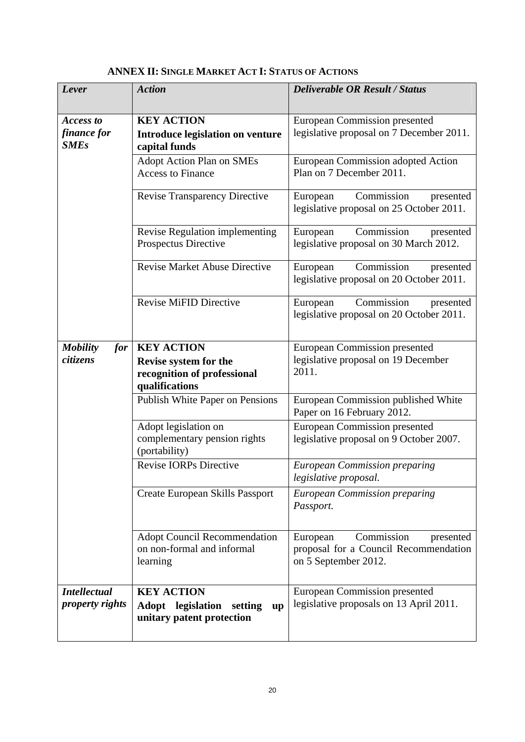#### <span id="page-19-0"></span>*Lever Action Deliverable OR Result / Status*  **KEY ACTION Introduce legislation on venture capital funds**  European Commission presented legislative proposal on 7 December 2011. Adopt Action Plan on SMEs Access to Finance European Commission adopted Action Plan on 7 December 2011. Revise Transparency Directive European Commission presented legislative proposal on 25 October 2011. Revise Regulation implementing Prospectus Directive European Commission presented legislative proposal on 30 March 2012. Revise Market Abuse Directive European Commission presented legislative proposal on 20 October 2011. *Access to finance for SMEs*  Revise MiFID Directive European Commission presented legislative proposal on 20 October 2011. **KEY ACTION Revise system for the recognition of professional qualifications**  European Commission presented legislative proposal on 19 December 2011. Publish White Paper on Pensions European Commission published White Paper on 16 February 2012. Adopt legislation on complementary pension rights (portability) European Commission presented legislative proposal on 9 October 2007. Revise IORPs Directive *European Commission preparing legislative proposal.*  Create European Skills Passport *European Commission preparing Passport. Mobility for citizens*  Adopt Council Recommendation on non-formal and informal learning European Commission presented proposal for a Council Recommendation on 5 September 2012. *Intellectual property rights*  **KEY ACTION Adopt legislation setting up unitary patent protection**  European Commission presented legislative proposals on 13 April 2011.

### **ANNEX II: SINGLE MARKET ACT I: STATUS OF ACTIONS**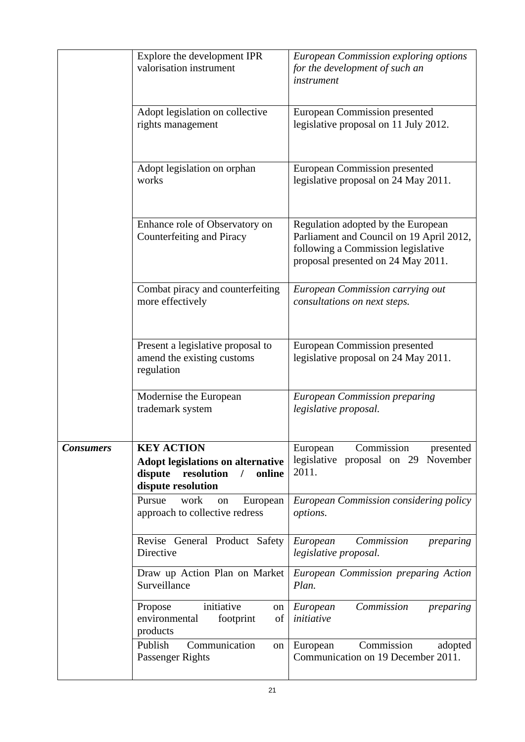|                  | Explore the development IPR<br>valorisation instrument                                                                             | <b>European Commission exploring options</b><br>for the development of such an<br>instrument                                                               |
|------------------|------------------------------------------------------------------------------------------------------------------------------------|------------------------------------------------------------------------------------------------------------------------------------------------------------|
|                  | Adopt legislation on collective<br>rights management                                                                               | <b>European Commission presented</b><br>legislative proposal on 11 July 2012.                                                                              |
|                  | Adopt legislation on orphan<br>works                                                                                               | <b>European Commission presented</b><br>legislative proposal on 24 May 2011.                                                                               |
|                  | Enhance role of Observatory on<br>Counterfeiting and Piracy                                                                        | Regulation adopted by the European<br>Parliament and Council on 19 April 2012,<br>following a Commission legislative<br>proposal presented on 24 May 2011. |
|                  | Combat piracy and counterfeiting<br>more effectively                                                                               | <b>European Commission carrying out</b><br>consultations on next steps.                                                                                    |
|                  | Present a legislative proposal to<br>amend the existing customs<br>regulation                                                      | <b>European Commission presented</b><br>legislative proposal on 24 May 2011.                                                                               |
|                  | Modernise the European<br>trademark system                                                                                         | <b>European Commission preparing</b><br>legislative proposal.                                                                                              |
| <b>Consumers</b> | <b>KEY ACTION</b><br><b>Adopt legislations on alternative</b><br>dispute<br>resolution<br>$\prime$<br>online<br>dispute resolution | Commission<br>European<br>presented<br>legislative proposal on 29<br>November<br>2011.                                                                     |
|                  | Pursue<br>work<br>European<br>on<br>approach to collective redress                                                                 | European Commission considering policy<br>options.                                                                                                         |
|                  | Revise General Product Safety<br>Directive                                                                                         | Commission<br>European<br>preparing<br>legislative proposal.                                                                                               |
|                  | Draw up Action Plan on Market<br>Surveillance                                                                                      | European Commission preparing Action<br>Plan.                                                                                                              |
|                  | initiative<br>Propose<br>on<br>environmental<br>footprint<br>of<br>products                                                        | Commission<br>European<br>preparing<br>initiative                                                                                                          |
|                  | Publish<br>Communication<br>on<br>Passenger Rights                                                                                 | Commission<br>European<br>adopted<br>Communication on 19 December 2011.                                                                                    |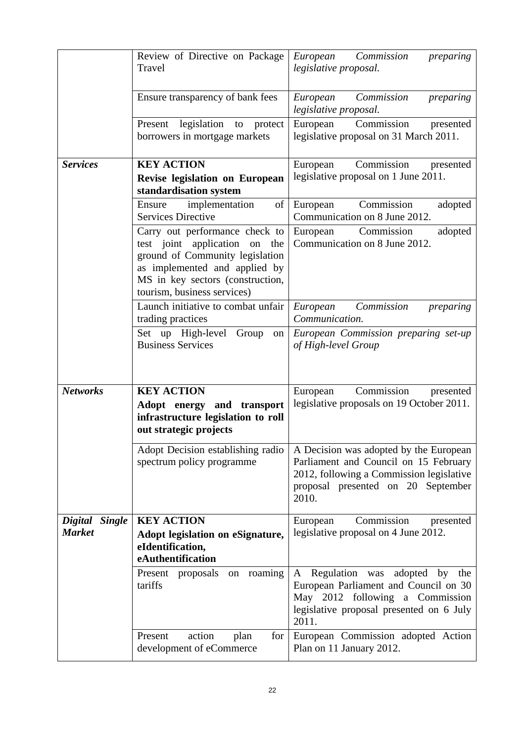|                                 | Review of Directive on Package<br>Travel                                                                                                                                                                     | European<br>Commission<br>preparing<br>legislative proposal.                                                                                                               |
|---------------------------------|--------------------------------------------------------------------------------------------------------------------------------------------------------------------------------------------------------------|----------------------------------------------------------------------------------------------------------------------------------------------------------------------------|
|                                 | Ensure transparency of bank fees                                                                                                                                                                             | Commission<br>European<br>preparing<br>legislative proposal.                                                                                                               |
|                                 | Present legislation<br>to protect<br>borrowers in mortgage markets                                                                                                                                           | Commission<br>European<br>presented<br>legislative proposal on 31 March 2011.                                                                                              |
| <b>Services</b>                 | <b>KEY ACTION</b><br>Revise legislation on European<br>standardisation system                                                                                                                                | Commission<br>European<br>presented<br>legislative proposal on 1 June 2011.                                                                                                |
|                                 | implementation<br>of<br>Ensure<br><b>Services Directive</b>                                                                                                                                                  | Commission<br>European<br>adopted<br>Communication on 8 June 2012.                                                                                                         |
|                                 | Carry out performance check to<br>test joint application<br>on<br>the<br>ground of Community legislation<br>as implemented and applied by<br>MS in key sectors (construction,<br>tourism, business services) | adopted<br>Commission<br>European<br>Communication on 8 June 2012.                                                                                                         |
|                                 | Launch initiative to combat unfair<br>trading practices                                                                                                                                                      | Commission<br>European<br>preparing<br>Communication.                                                                                                                      |
|                                 | High-level<br>Set up<br>Group<br>on<br><b>Business Services</b>                                                                                                                                              | European Commission preparing set-up<br>of High-level Group                                                                                                                |
| <b>Networks</b>                 | <b>KEY ACTION</b><br>Adopt energy and transport<br>infrastructure legislation to roll<br>out strategic projects                                                                                              | Commission<br>European<br>presented<br>legislative proposals on 19 October 2011.                                                                                           |
|                                 | Adopt Decision establishing radio<br>spectrum policy programme                                                                                                                                               | A Decision was adopted by the European<br>Parliament and Council on 15 February<br>2012, following a Commission legislative<br>proposal presented on 20 September<br>2010. |
| Digital Single<br><b>Market</b> | <b>KEY ACTION</b><br>Adopt legislation on eSignature,<br>eIdentification,<br>eAuthentification                                                                                                               | Commission<br>European<br>presented<br>legislative proposal on 4 June 2012.                                                                                                |
|                                 | Present proposals<br>on roaming<br>tariffs                                                                                                                                                                   | Regulation was adopted by the<br>A<br>European Parliament and Council on 30<br>May 2012 following a Commission<br>legislative proposal presented on 6 July<br>2011.        |
|                                 | action<br>Present<br>plan<br>for<br>development of eCommerce                                                                                                                                                 | European Commission adopted Action<br>Plan on 11 January 2012.                                                                                                             |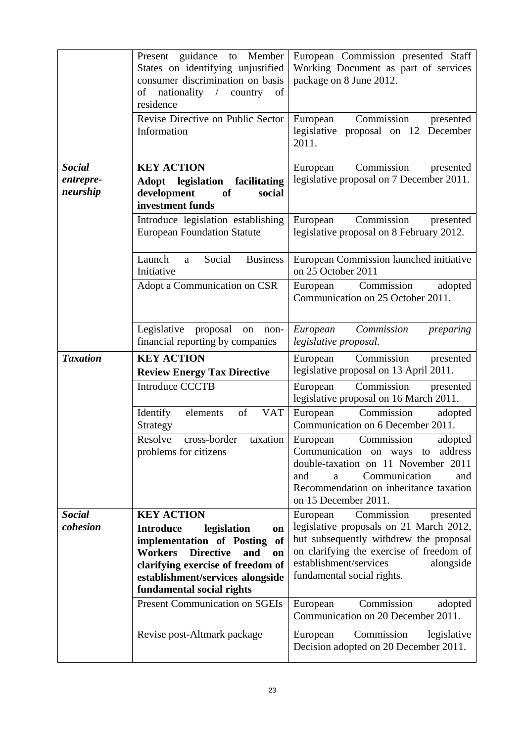|                       | Present guidance to Member<br>States on identifying unjustified<br>consumer discrimination on basis<br>of nationality / country<br>of<br>residence<br>Revise Directive on Public Sector | European Commission presented Staff<br>Working Document as part of services<br>package on 8 June 2012.<br>European Commission<br>presented                                                                         |
|-----------------------|-----------------------------------------------------------------------------------------------------------------------------------------------------------------------------------------|--------------------------------------------------------------------------------------------------------------------------------------------------------------------------------------------------------------------|
|                       | Information                                                                                                                                                                             | legislative proposal on 12 December<br>2011.                                                                                                                                                                       |
| <b>Social</b>         | <b>KEY ACTION</b>                                                                                                                                                                       | Commission<br>European<br>presented                                                                                                                                                                                |
| entrepre-<br>neurship | legislation facilitating<br>Adopt<br>development<br><b>of</b><br>social<br>investment funds                                                                                             | legislative proposal on 7 December 2011.                                                                                                                                                                           |
|                       | Introduce legislation establishing<br><b>European Foundation Statute</b>                                                                                                                | Commission<br>European<br>presented<br>legislative proposal on 8 February 2012.                                                                                                                                    |
|                       | <b>Business</b><br>Social<br>Launch<br>a<br>Initiative                                                                                                                                  | European Commission launched initiative<br>on 25 October 2011                                                                                                                                                      |
|                       | Adopt a Communication on CSR                                                                                                                                                            | Commission<br>European<br>adopted<br>Communication on 25 October 2011.                                                                                                                                             |
|                       | Legislative<br>proposal on<br>non-<br>financial reporting by companies                                                                                                                  | Commission<br>European<br>preparing<br>legislative proposal.                                                                                                                                                       |
|                       |                                                                                                                                                                                         |                                                                                                                                                                                                                    |
| <b>Taxation</b>       | <b>KEY ACTION</b>                                                                                                                                                                       | Commission<br>European<br>presented                                                                                                                                                                                |
|                       | <b>Review Energy Tax Directive</b>                                                                                                                                                      | legislative proposal on 13 April 2011.                                                                                                                                                                             |
|                       | <b>Introduce CCCTB</b>                                                                                                                                                                  | Commission<br>European<br>presented<br>legislative proposal on 16 March 2011.                                                                                                                                      |
|                       | elements<br>of<br><b>VAT</b><br>Identify<br>Strategy                                                                                                                                    | Commission<br>European<br>adopted<br>Communication on 6 December 2011.                                                                                                                                             |
|                       | Resolve<br>cross-border<br>taxation<br>problems for citizens                                                                                                                            | adopted<br>European<br>Commission<br>Communication on ways to address<br>double-taxation on 11 November 2011<br>Communication<br>and<br>and<br>a<br>Recommendation on inheritance taxation<br>on 15 December 2011. |
| <b>Social</b>         | <b>KEY ACTION</b>                                                                                                                                                                       | European Commission<br>presented                                                                                                                                                                                   |
| cohesion              | <b>Introduce</b><br>legislation<br>on                                                                                                                                                   | legislative proposals on 21 March 2012,                                                                                                                                                                            |
|                       | implementation of Posting<br>of                                                                                                                                                         | but subsequently withdrew the proposal                                                                                                                                                                             |
|                       | <b>Workers</b> Directive<br>and<br>on<br>clarifying exercise of freedom of                                                                                                              | on clarifying the exercise of freedom of<br>establishment/services<br>alongside                                                                                                                                    |
|                       | establishment/services alongside                                                                                                                                                        | fundamental social rights.                                                                                                                                                                                         |
|                       | fundamental social rights                                                                                                                                                               |                                                                                                                                                                                                                    |
|                       | <b>Present Communication on SGEIs</b>                                                                                                                                                   | Commission<br>European<br>adopted<br>Communication on 20 December 2011.<br>Commission legislative                                                                                                                  |